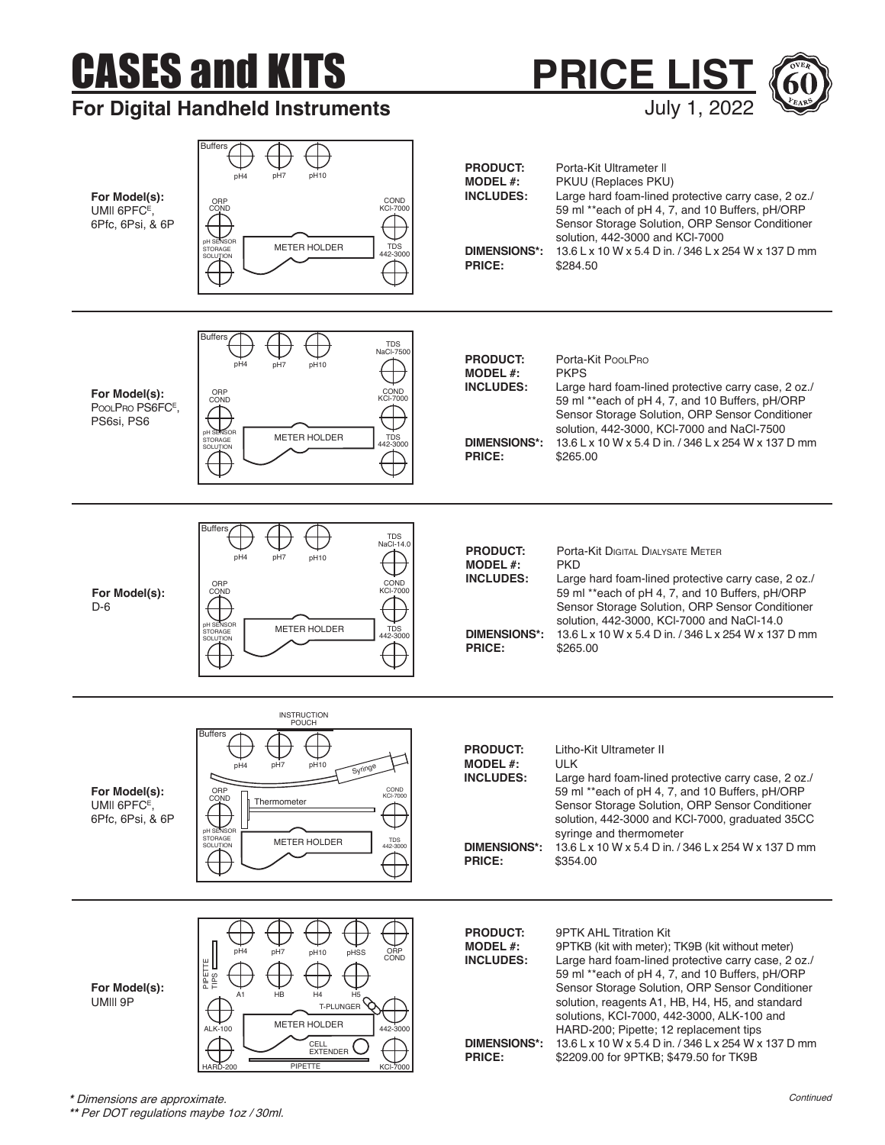## CASES and KITS

Buffers

## **For Digital Handheld Instruments**



**PRICE LIST**

July 1, 2022

**\*\*** Per DOT regulations maybe 1oz / 30ml.